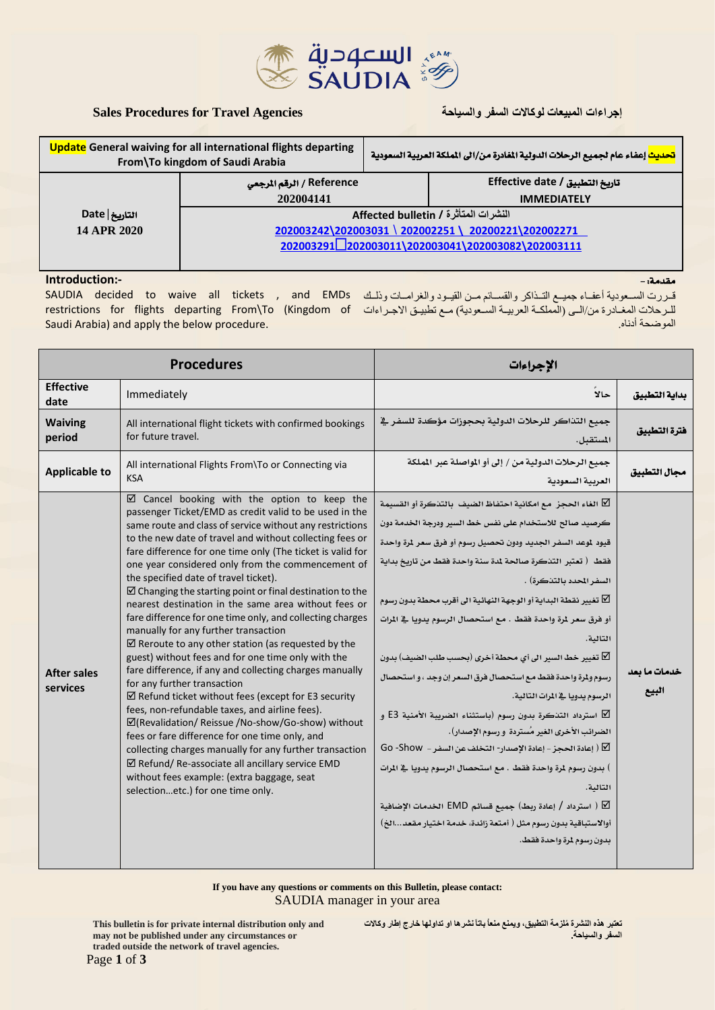

# **إجراءات المبيعات لوكاالت السفر والسياحة Agencies Travel for Procedures Sales**

مقدمة: -

| <b>Update</b> General waiving for all international flights departing<br>From\To kingdom of Saudi Arabia |                                                   | <mark>تحديث</mark> إعفاء عام لجميع الرحلات الدولية المفادرة من/الى الملكة العربية السعودية <sub>.</sub> |                                  |  |
|----------------------------------------------------------------------------------------------------------|---------------------------------------------------|---------------------------------------------------------------------------------------------------------|----------------------------------|--|
|                                                                                                          | الرقم المرجعي / Reference                         |                                                                                                         | ِ تاريخ التطبيق / Effective date |  |
|                                                                                                          | 202004141                                         |                                                                                                         | <b>IMMEDIATELY</b>               |  |
| التاريخ Date                                                                                             | النشرات المتأثرة / Affected bulletin              |                                                                                                         |                                  |  |
| 14 APR 2020                                                                                              | 202003242\202003031\202002251\20200221\202002271  |                                                                                                         |                                  |  |
|                                                                                                          | 2020032912202003011\202003041\202003082\202003111 |                                                                                                         |                                  |  |
|                                                                                                          |                                                   |                                                                                                         |                                  |  |

### **Introduction:-**

قـررت السـعودية أعفـاء جميـع التـذاكر والقســائم مـن القيـود والغرامــات وذلـك SAUDIA decided to waive all tickets , and EMDs للـرحلات المغــادرة من/الـي (المملكـة العربيــة الســعودية) مـع تطبيـق الإجــراءات frestrictions for flights departing From\To (Kingdom of Saudi Arabia) and apply the below procedure. الموضحة أدناه.

| <b>Procedures</b>              |                                                                                                                                                                                                                                                                                                                                                                                                                                                                                                                                                                                                                                                                                                                                                                                                                                                                                                                                                                                                                                                                                                                                                                                                                                                                                        | الإجراءات                                                                                                                                                                                                                                                                                                                                                                                                                                                                                                                                                                                                                                                                                                                                                                                                                                                                                                                                                                                                                                                                                              |                       |
|--------------------------------|----------------------------------------------------------------------------------------------------------------------------------------------------------------------------------------------------------------------------------------------------------------------------------------------------------------------------------------------------------------------------------------------------------------------------------------------------------------------------------------------------------------------------------------------------------------------------------------------------------------------------------------------------------------------------------------------------------------------------------------------------------------------------------------------------------------------------------------------------------------------------------------------------------------------------------------------------------------------------------------------------------------------------------------------------------------------------------------------------------------------------------------------------------------------------------------------------------------------------------------------------------------------------------------|--------------------------------------------------------------------------------------------------------------------------------------------------------------------------------------------------------------------------------------------------------------------------------------------------------------------------------------------------------------------------------------------------------------------------------------------------------------------------------------------------------------------------------------------------------------------------------------------------------------------------------------------------------------------------------------------------------------------------------------------------------------------------------------------------------------------------------------------------------------------------------------------------------------------------------------------------------------------------------------------------------------------------------------------------------------------------------------------------------|-----------------------|
| <b>Effective</b><br>date       | Immediately                                                                                                                                                                                                                                                                                                                                                                                                                                                                                                                                                                                                                                                                                                                                                                                                                                                                                                                                                                                                                                                                                                                                                                                                                                                                            | حالا                                                                                                                                                                                                                                                                                                                                                                                                                                                                                                                                                                                                                                                                                                                                                                                                                                                                                                                                                                                                                                                                                                   | بداية التطبيق         |
| <b>Waiving</b><br>period       | All international flight tickets with confirmed bookings<br>for future travel.                                                                                                                                                                                                                                                                                                                                                                                                                                                                                                                                                                                                                                                                                                                                                                                                                                                                                                                                                                                                                                                                                                                                                                                                         | جميع التذاكر للرحلات الدولية بحجوزات مؤكدة للسفر في<br>المستقبل.                                                                                                                                                                                                                                                                                                                                                                                                                                                                                                                                                                                                                                                                                                                                                                                                                                                                                                                                                                                                                                       | فترة التطبيق          |
| <b>Applicable to</b>           | All international Flights From\To or Connecting via<br><b>KSA</b>                                                                                                                                                                                                                                                                                                                                                                                                                                                                                                                                                                                                                                                                                                                                                                                                                                                                                                                                                                                                                                                                                                                                                                                                                      | جميع الرحلات الدولية من / إلى أو المواصلة عبر المملكة<br>العربية السعودية                                                                                                                                                                                                                                                                                                                                                                                                                                                                                                                                                                                                                                                                                                                                                                                                                                                                                                                                                                                                                              | محال التطبيق          |
| <b>After sales</b><br>services | ☑ Cancel booking with the option to keep the<br>passenger Ticket/EMD as credit valid to be used in the<br>same route and class of service without any restrictions<br>to the new date of travel and without collecting fees or<br>fare difference for one time only (The ticket is valid for<br>one year considered only from the commencement of<br>the specified date of travel ticket).<br>$\boxtimes$ Changing the starting point or final destination to the<br>nearest destination in the same area without fees or<br>fare difference for one time only, and collecting charges<br>manually for any further transaction<br>$\boxtimes$ Reroute to any other station (as requested by the<br>guest) without fees and for one time only with the<br>fare difference, if any and collecting charges manually<br>for any further transaction<br>$\boxtimes$ Refund ticket without fees (except for E3 security<br>fees, non-refundable taxes, and airline fees).<br>☑(Revalidation/ Reissue /No-show/Go-show) without<br>fees or fare difference for one time only, and<br>collecting charges manually for any further transaction<br>$\boxtimes$ Refund/ Re-associate all ancillary service EMD<br>without fees example: (extra baggage, seat<br>selectionetc.) for one time only. | ∑ الغاء الحجز ٍ مع امكانية احتفاظ الضيف  بالتدكرة أو القسيمة<br>كرصيد صالح للاستخدام على نفس خط السير ودرجة الخدمة دون<br>قيود لموعد السفر الجديد ودون تحصيل رسوم أو فرق سعر لرة واحدة<br>فقط ﴿ تعتبر التنكرة صالحة لمدة سنة واحدة فقط من تاريخ بداية<br>السفر المحدد بالتذكرة) .<br>ع تغيير نقطة البداية أو الوجهة النهائية الى أقرب محطة بدون رسوم $\square$<br>أو فرق سعر لمرة واحدة فقط . مع استحصال الرسوم يدويا ﴾ المرات<br>التالية.<br>تغيير خط السير الى أي محطة أخرى (بحسب طلب الضيف) بدون $\nabla$<br>رسوم ولمرة واحدة فقط مع استحصال فرق السعر إن وجد ، و استحصال<br>الرسوم يدويا في المرات التالية.<br>∑ استرداد التنكرة بدون رسوم (باستثناء الضريبة الأمنية E3 و<br>الضرائب الأخرى الغير مُستردة ۖ و رسوم الإصدار) .<br>$\overline{\mathsf{G}}$ 0 -Show - إعادة الإصدار- التخلف عن السفر $\overline{\mathsf{G}}$ 0 -Show ) $\overline{\mathsf{M}}$<br>) بدون رسوم 1رة واحدة فقط . مع استحصال الرسوم يدويا في الرات<br>التالية.<br>∬ ( استرداد / إعادة ربط) جميع قسائم EMD الخدمات الإضافية<br>أوالاستباقية بدون رسوم مثل ( أمتعة زائدة، خدمة اختيار مقعدالخ)<br>بدون رسوم لمرة واحدة فقط. | خدمات ما بعد<br>البيع |

**If you have any questions or comments on this Bulletin, please contact:** SAUDIA manager in your area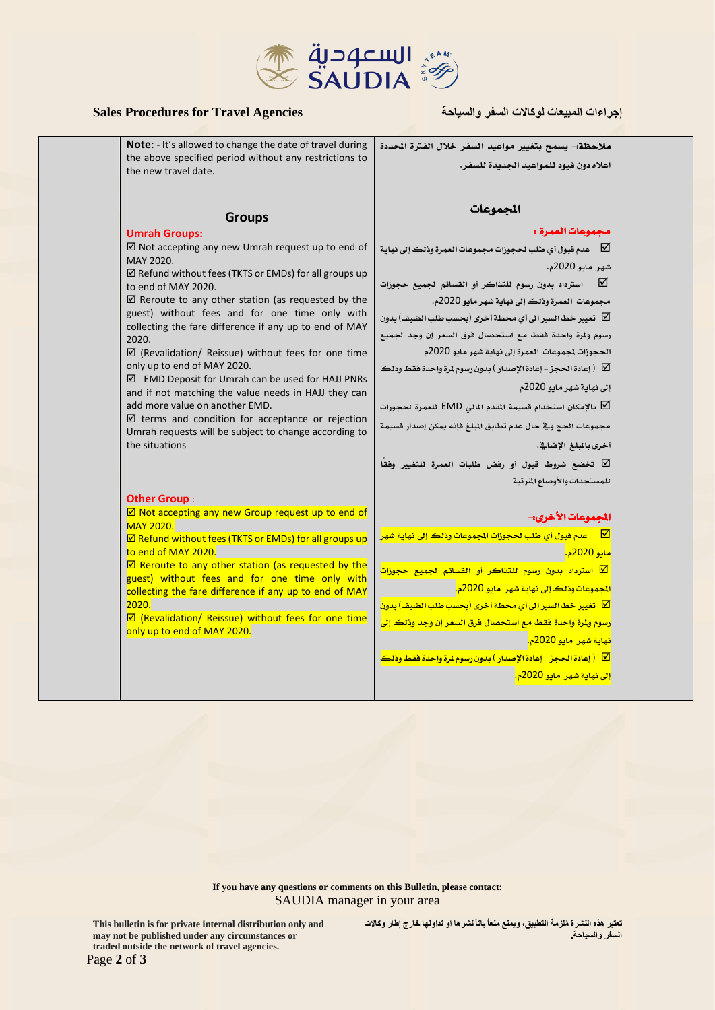

# **إجراءات المبيعات لوكاالت السفر والسياحة Agencies Travel for Procedures Sales**

the new travel date.

**Umrah Groups:**

**Note**: - It's allowed to change the date of travel during the above specified period without any restrictions to ملاحظة- يسمح بتغيير مواعيد السفر خلال الفترة الحددة اعاله دون قيود للمواعيد اجلديدة للسفر.

# المجموعات

## جمموعات العمرة :

 $\boxtimes$  Not accepting any new Umrah request up to end of **MAY 2020** عدم قبول أي طلب لحجوزات مجموعات العمرة وذلك إلى نهاية  $\square$ 

 $\boxtimes$  Refund without fees (TKTS or EMDs) for all groups up to end of MAY 2020.

**Groups**

 $\boxtimes$  Reroute to any other station (as requested by the guest) without fees and for one time only with collecting the fare difference if any up to end of MAY 2020.

 $\boxtimes$  (Revalidation/ Reissue) without fees for one time only up to end of MAY 2020.

 EMD Deposit for Umrah can be used for HAJJ PNRs and if not matching the value needs in HAJJ they can add more value on another EMD.

 $\boxtimes$  terms and condition for acceptance or rejection Umrah requests will be subject to change according to the situations

#### **Other Group** :

 $\boxtimes$  Not accepting any new Group request up to end of MAY 2020.

 $\boxtimes$  Refund without fees (TKTS or EMDs) for all groups up to end of MAY 2020.

 $\boxtimes$  Reroute to any other station (as requested by the guest) without fees and for one time only with collecting the fare difference if any up to end of MAY 2020.

 $\boxtimes$  (Revalidation/ Reissue) without fees for one time only up to end of MAY 2020.

شهر مايو 2020م. استرداد بدون رسوم للتذاكر أو القسائم لجميع حجوزات  $\square$ جمموعات العمرة وذلك إىل نهاية شهر مايو 2020م.

تغيير خط السير الى أي محطة أخرى (بحسب طلب الضيف) بدون  $\boxdot$ رسوم ولمرة واحدة فقط مع استحصال فرق السعر إن وجد لجميع

الحجوزات لجموعات العمرة إلى نهاية شهر مايو 2020م  $\vert \searrow \vert$  إعادة الحجز - إعادة الإصدار ) بدون رسوم لمرة واحدة فقط وذلك

إىل نهاية شهر مايو 2020م

بالإمكان استخدام قسيمة المقدم المالي EMD للعمرة لحجوزات  $\nabla$ 

جمموعات احلج ويف حال عدم تطابق املبلغ فإنه ميكن إصدار قسيمة أخرى بالمبلغ الإضاية.

 ختضع شروط قبول أو رفض طلبات العمرة للتغيري وفقًا للمستجدات والأوضاع المترتبة

### المجموعات الأخرى:-

عدم قبول أي طلب لحجوزات الجموعات وذلك إلى نهاية شهر  $\Box$ مايو 2020م.

<mark>ا</mark> استرداد بدون رسوم للتذاكر أو القسائم لجميع حجوزات المجموعات وذلك إلى نهاية شهر عايو 2020م.

تغيير خط السير الى أي محطة أخرى (بحسب طلب الضيف) بدون N بدون رسوم ولمرة واحدة فقط مع استحصال فرق السعر إن وجد وذلك إلى <mark>نهاية *شه*ر مايو 2020م.</mark>

( إعادة احلجز -إعادة اإلصدار ( بدون رسوم ملرة واحدة فقط وذلك

<mark>إني نهاية شهر مايو 2020م.</mark>

**If you have any questions or comments on this Bulletin, please contact:** SAUDIA manager in your area

> **تعتبر هذه النشرة ُملزمة التطبيق، ويمنع منعاُ باتاً نشرها او تداولها خارج إطار وكاالت السفر والسياحة.**

**This bulletin is for private internal distribution only and may not be published under any circumstances or traded outside the network of travel agencies.**